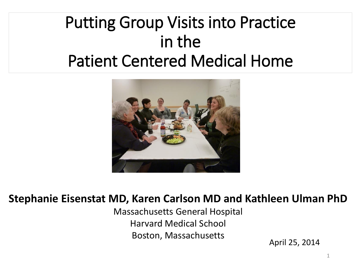#### Putting Group Visits into Practice in the Patient Centered Medical Home



#### **Stephanie Eisenstat MD, Karen Carlson MD and Kathleen Ulman PhD**

Massachusetts General Hospital Harvard Medical School Boston, Massachusetts

April 25, 2014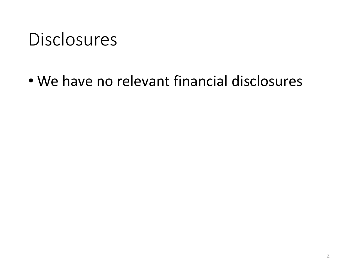#### **Disclosures**

• We have no relevant financial disclosures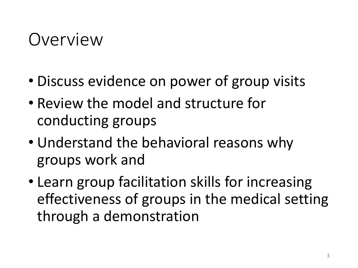#### Overview

- Discuss evidence on power of group visits
- Review the model and structure for conducting groups
- Understand the behavioral reasons why groups work and
- Learn group facilitation skills for increasing effectiveness of groups in the medical setting through a demonstration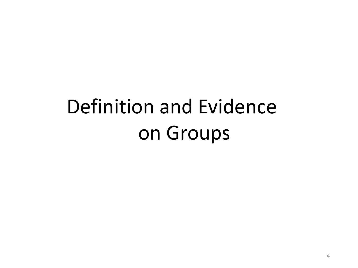## Definition and Evidence on Groups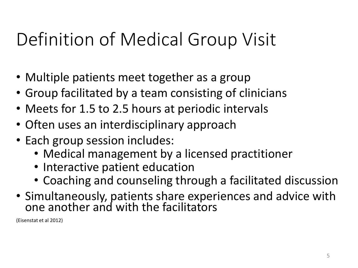## Definition of Medical Group Visit

- Multiple patients meet together as a group
- Group facilitated by a team consisting of clinicians
- Meets for 1.5 to 2.5 hours at periodic intervals
- Often uses an interdisciplinary approach
- Each group session includes:
	- Medical management by a licensed practitioner
	- Interactive patient education
	- Coaching and counseling through a facilitated discussion
- Simultaneously, patients share experiences and advice with one another and with the facilitators

(Eisenstat et al 2012)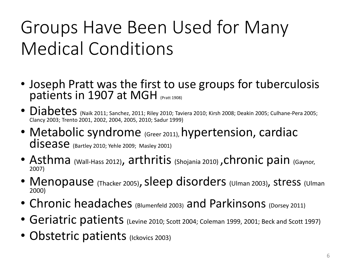## Groups Have Been Used for Many Medical Conditions

- Joseph Pratt was the first to use groups for tuberculosis patients in 1907 at MGH (Pratt 1908)
- Diabetes (Naik 2011; Sanchez, 2011; Riley 2010; Taviera 2010; Kirsh 2008; Deakin 2005; Culhane-Pera 2005; Clancy 2003; Trento 2001, 2002, 2004, 2005, 2010; Sadur 1999)
- Metabolic syndrome (Greer 2011), hypertension, cardiac disease (Bartley 2010; Yehle 2009; Masley 2001)
- Asthma (Wall-Hass 2012), arthritis (Shojania 2010), chronic pain (Gaynor, 2007)
- Menopause (Thacker 2005), sleep disorders (Ulman 2003), stress (Ulman 2000)
- Chronic headaches (Blumenfeld 2003) and Parkinsons (Dorsey 2011)
- Geriatric patients (Levine 2010; Scott 2004; Coleman 1999, 2001; Beck and Scott 1997)
- Obstetric patients (Ickovics 2003)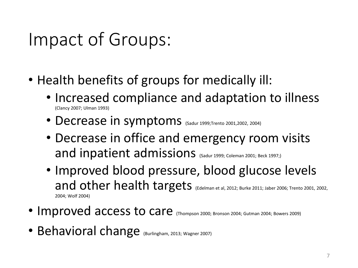### Impact of Groups:

- Health benefits of groups for medically ill:
	- Increased compliance and adaptation to illness (Clancy 2007; Ulman 1993)
	- Decrease in symptoms (Sadur 1999;Trento 2001,2002, 2004)
	- Decrease in office and emergency room visits and inpatient admissions (Sadur 1999; Coleman 2001; Beck 1997;)
	- Improved blood pressure, blood glucose levels and other health targets (Edelman et al, 2012; Burke 2011; Jaber 2006; Trento 2001, 2002, 2004; Wolf 2004)
- Improved access to care (Thompson 2000; Bronson 2004; Gutman 2004; Bowers 2009)
- Behavioral change (Burlingham, 2013; Wagner 2007)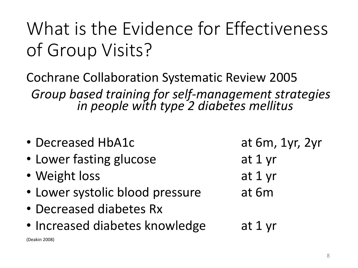## What is the Evidence for Effectiveness of Group Visits?

Cochrane Collaboration Systematic Review 2005 *Group based training for self-management strategies in people with type 2 diabetes mellitus*

• Decreased HbA1c at 6m, 1yr, 2yr • Lower fasting glucose at 1 yr • Weight loss at 1 yr • Lower systolic blood pressure at 6m • Decreased diabetes Rx • Increased diabetes knowledge at 1 yr (Deakin 2008)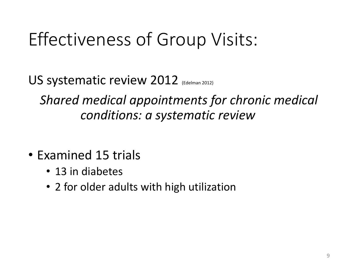## Effectiveness of Group Visits:

US systematic review 2012 (Edelman 2012)

*Shared medical appointments for chronic medical conditions: a systematic review*

- Examined 15 trials
	- 13 in diabetes
	- 2 for older adults with high utilization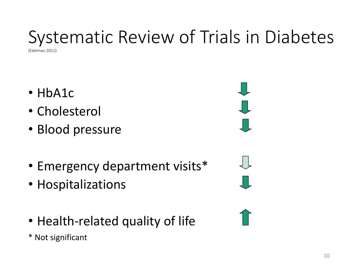## Systematic Review of Trials in Diabetes

(Edelman 2012)

- HbA1c
- Cholesterol
- Blood pressure
- Emergency department visits\*
- Hospitalizations
- Health-related quality of life

\* Not significant

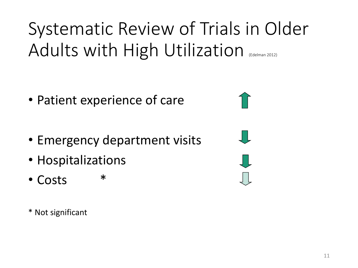Systematic Review of Trials in Older Adults with High Utilization (Edelman 2012)

- Patient experience of care
- Emergency department visits
- Hospitalizations
- Costs \*

\* Not significant

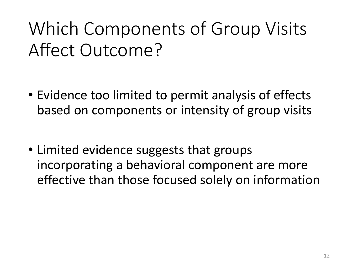## Which Components of Group Visits Affect Outcome?

- Evidence too limited to permit analysis of effects based on components or intensity of group visits
- Limited evidence suggests that groups incorporating a behavioral component are more effective than those focused solely on information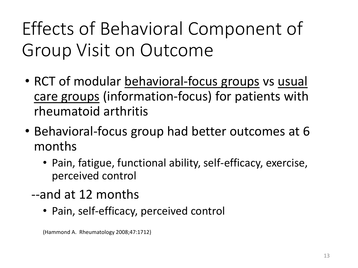## Effects of Behavioral Component of Group Visit on Outcome

- RCT of modular behavioral-focus groups vs usual care groups (information-focus) for patients with rheumatoid arthritis
- Behavioral-focus group had better outcomes at 6 months
	- Pain, fatigue, functional ability, self-efficacy, exercise, perceived control
	- --and at 12 months
		- Pain, self-efficacy, perceived control

<sup>(</sup>Hammond A. Rheumatology 2008;47:1712)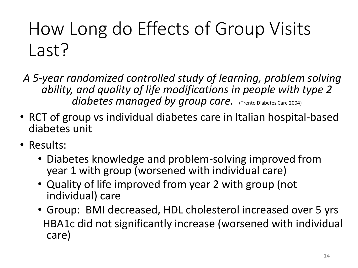## How Long do Effects of Group Visits Last?

*A 5-year randomized controlled study of learning, problem solving ability, and quality of life modifications in people with type 2 diabetes managed by group care.* (Trento Diabetes Care 2004)

- RCT of group vs individual diabetes care in Italian hospital-based diabetes unit
- Results:
	- Diabetes knowledge and problem-solving improved from year 1 with group (worsened with individual care)
	- Quality of life improved from year 2 with group (not individual) care
	- Group: BMI decreased, HDL cholesterol increased over 5 yrs HBA1c did not significantly increase (worsened with individual care)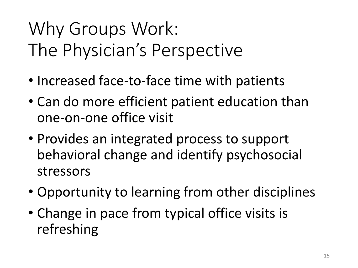## Why Groups Work: The Physician's Perspective

- Increased face-to-face time with patients
- Can do more efficient patient education than one-on-one office visit
- Provides an integrated process to support behavioral change and identify psychosocial stressors
- Opportunity to learning from other disciplines
- Change in pace from typical office visits is refreshing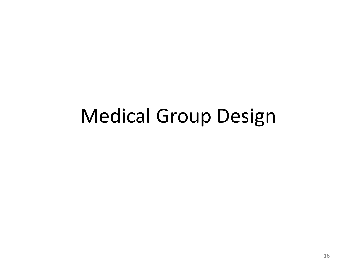## Medical Group Design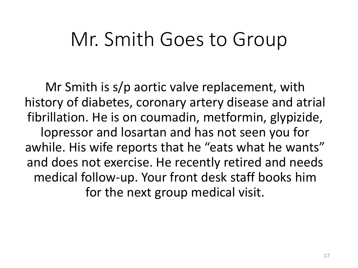#### Mr. Smith Goes to Group

Mr Smith is s/p aortic valve replacement, with history of diabetes, coronary artery disease and atrial fibrillation. He is on coumadin, metformin, glypizide, lopressor and losartan and has not seen you for awhile. His wife reports that he "eats what he wants" and does not exercise. He recently retired and needs medical follow-up. Your front desk staff books him for the next group medical visit.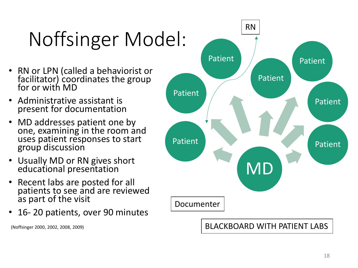# Noffsinger Model:

- RN or LPN (called a behaviorist or facilitator) coordinates the group for or with MD
- Administrative assistant is present for documentation
- MD addresses patient one by one, examining in the room and uses patient responses to start group discussion
- Usually MD or RN gives short educational presentation
- Recent labs are posted for all patients to see and are reviewed as part of the visit
- 16- 20 patients, over 90 minutes

(Noffsinger 2000, 2002, 2008, 2009)

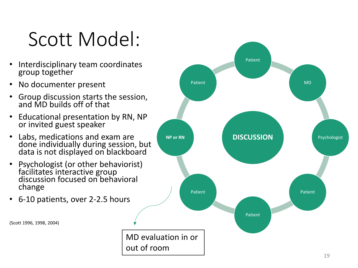## Scott Model:

- Interdisciplinary team coordinates group together
- No documenter present
- Group discussion starts the session, and MD builds off of that
- Educational presentation by RN, NP or invited guest speaker
- Labs, medications and exam are done individually during session, but data is not displayed on blackboard
- Psychologist (or other behaviorist) facilitates interactive group discussion focused on behavioral change
- 6-10 patients, over 2-2.5 hours

(Scott 1996, 1998, 2004)

MD evaluation in or out of room

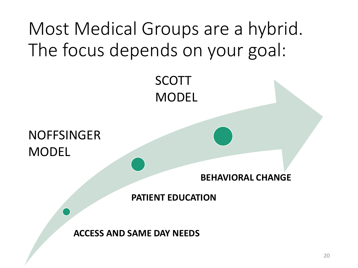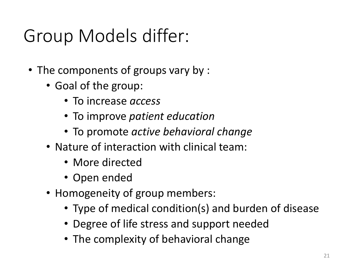## Group Models differ:

- The components of groups vary by :
	- Goal of the group:
		- To increase *access*
		- To improve *patient education*
		- To promote *active behavioral change*
	- Nature of interaction with clinical team:
		- More directed
		- Open ended
	- Homogeneity of group members:
		- Type of medical condition(s) and burden of disease
		- Degree of life stress and support needed
		- The complexity of behavioral change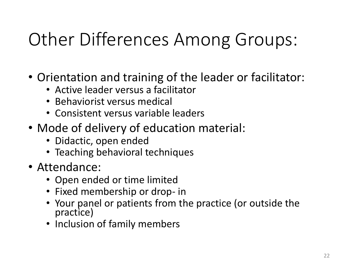## Other Differences Among Groups:

- Orientation and training of the leader or facilitator:
	- Active leader versus a facilitator
	- Behaviorist versus medical
	- Consistent versus variable leaders
- Mode of delivery of education material:
	- Didactic, open ended
	- Teaching behavioral techniques
- Attendance:
	- Open ended or time limited
	- Fixed membership or drop- in
	- Your panel or patients from the practice (or outside the practice)
	- Inclusion of family members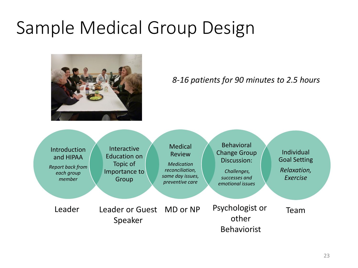#### Sample Medical Group Design



#### *8-16 patients for 90 minutes to 2.5 hours*

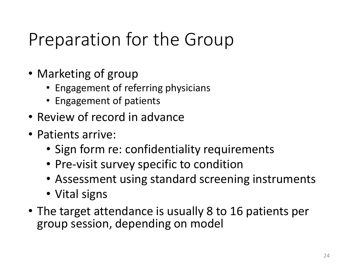## Preparation for the Group

- Marketing of group
	- Engagement of referring physicians
	- Engagement of patients
- Review of record in advance
- Patients arrive:
	- Sign form re: confidentiality requirements
	- Pre-visit survey specific to condition
	- Assessment using standard screening instruments
	- Vital signs
- The target attendance is usually 8 to 16 patients per group session, depending on model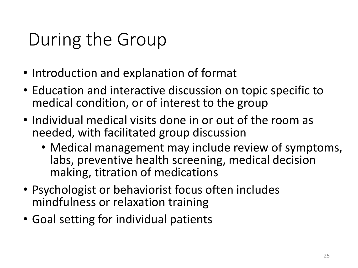## During the Group

- Introduction and explanation of format
- Education and interactive discussion on topic specific to medical condition, or of interest to the group
- Individual medical visits done in or out of the room as needed, with facilitated group discussion
	- Medical management may include review of symptoms, labs, preventive health screening, medical decision making, titration of medications
- Psychologist or behaviorist focus often includes mindfulness or relaxation training
- Goal setting for individual patients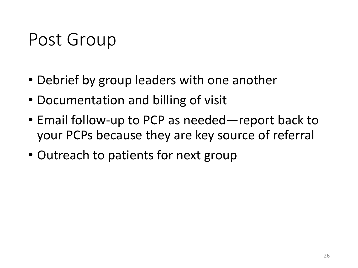#### Post Group

- Debrief by group leaders with one another
- Documentation and billing of visit
- Email follow-up to PCP as needed—report back to your PCPs because they are key source of referral
- Outreach to patients for next group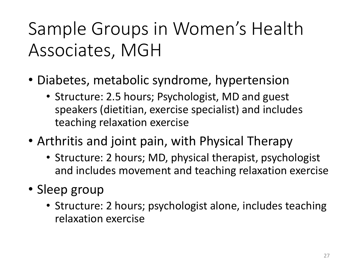## Sample Groups in Women's Health Associates, MGH

- Diabetes, metabolic syndrome, hypertension
	- Structure: 2.5 hours; Psychologist, MD and guest speakers (dietitian, exercise specialist) and includes teaching relaxation exercise
- Arthritis and joint pain, with Physical Therapy
	- Structure: 2 hours; MD, physical therapist, psychologist and includes movement and teaching relaxation exercise
- Sleep group
	- Structure: 2 hours; psychologist alone, includes teaching relaxation exercise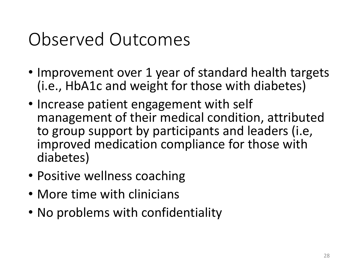#### Observed Outcomes

- Improvement over 1 year of standard health targets (i.e., HbA1c and weight for those with diabetes)
- Increase patient engagement with self management of their medical condition, attributed to group support by participants and leaders (i.e, improved medication compliance for those with diabetes)
- Positive wellness coaching
- More time with clinicians
- No problems with confidentiality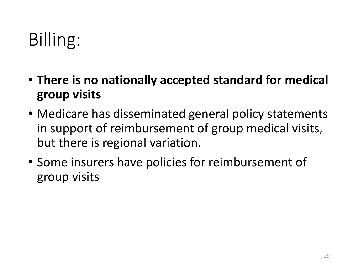## Billing:

- **There is no nationally accepted standard for medical group visits**
- Medicare has disseminated general policy statements in support of reimbursement of group medical visits, but there is regional variation.
- Some insurers have policies for reimbursement of group visits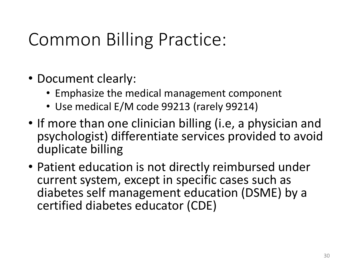## Common Billing Practice:

- Document clearly:
	- Emphasize the medical management component
	- Use medical E/M code 99213 (rarely 99214)
- If more than one clinician billing (i.e, a physician and psychologist) differentiate services provided to avoid duplicate billing
- Patient education is not directly reimbursed under current system, except in specific cases such as diabetes self management education (DSME) by a certified diabetes educator (CDE)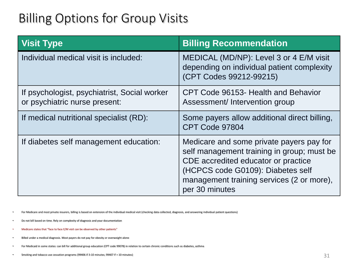#### Billing Options for Group Visits

| <b>Visit Type</b>                                                             | <b>Billing Recommendation</b>                                                                                                                                                                                                     |
|-------------------------------------------------------------------------------|-----------------------------------------------------------------------------------------------------------------------------------------------------------------------------------------------------------------------------------|
| Individual medical visit is included:                                         | MEDICAL (MD/NP): Level 3 or 4 E/M visit<br>depending on individual patient complexity<br>(CPT Codes 99212-99215)                                                                                                                  |
| If psychologist, psychiatrist, Social worker<br>or psychiatric nurse present: | CPT Code 96153- Health and Behavior<br>Assessment/ Intervention group                                                                                                                                                             |
| If medical nutritional specialist (RD):                                       | Some payers allow additional direct billing,<br>CPT Code 97804                                                                                                                                                                    |
| If diabetes self management education:                                        | Medicare and some private payers pay for<br>self management training in group; must be<br>CDE accredited educator or practice<br>(HCPCS code G0109): Diabetes self<br>management training services (2 or more),<br>per 30 minutes |

• For Medicare and most private insurers, billing is based on extension of the individual medical visit (checking data collected, diagnosis, and answering individual patient questions)

- Do not bill based on time. Rely on complexity of diagnosis and your documentation
- Medicare states that "face to face E/M visit can be observed by other patients"
- Billed under a medical diagnosis. Most payers do not pay for obesity or overweight alone
- For Medicaid in some states: can bill for additional group education (CPT code 99078) in relation to certain chronic conditions such as diabetes, asthma
- Smoking and tobacco use cessation programs (99406 if 3-10 minutes; 99407 if > 10 minutes)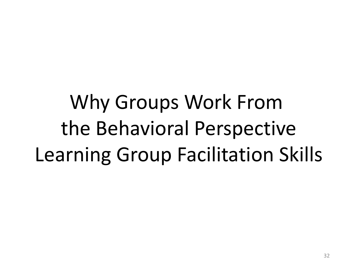Why Groups Work From the Behavioral Perspective Learning Group Facilitation Skills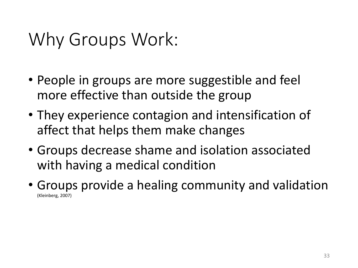#### Why Groups Work:

- People in groups are more suggestible and feel more effective than outside the group
- They experience contagion and intensification of affect that helps them make changes
- Groups decrease shame and isolation associated with having a medical condition
- Groups provide a healing community and validation (Kleinberg, 2007)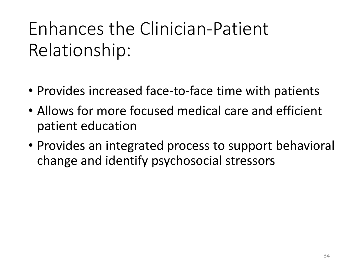## Enhances the Clinician-Patient Relationship:

- Provides increased face-to-face time with patients
- Allows for more focused medical care and efficient patient education
- Provides an integrated process to support behavioral change and identify psychosocial stressors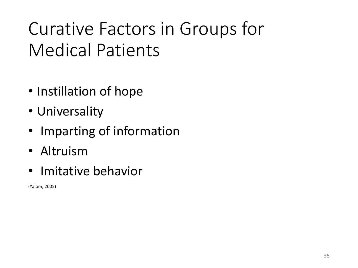## Curative Factors in Groups for Medical Patients

- Instillation of hope
- Universality
- Imparting of information
- Altruism
- Imitative behavior

(Yalom, 2005)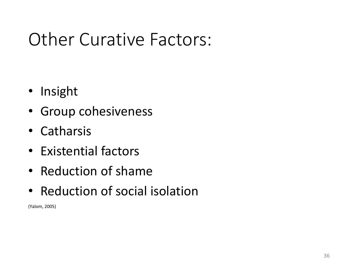#### Other Curative Factors:

- Insight
- Group cohesiveness
- Catharsis
- Existential factors
- Reduction of shame
- Reduction of social isolation

(Yalom, 2005)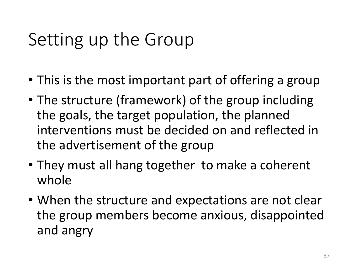## Setting up the Group

- This is the most important part of offering a group
- The structure (framework) of the group including the goals, the target population, the planned interventions must be decided on and reflected in the advertisement of the group
- They must all hang together to make a coherent whole
- When the structure and expectations are not clear the group members become anxious, disappointed and angry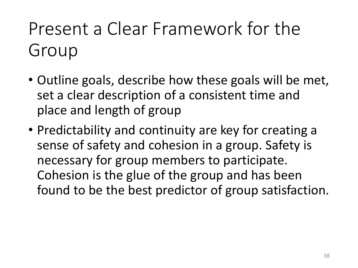## Present a Clear Framework for the Group

- Outline goals, describe how these goals will be met, set a clear description of a consistent time and place and length of group
- Predictability and continuity are key for creating a sense of safety and cohesion in a group. Safety is necessary for group members to participate. Cohesion is the glue of the group and has been found to be the best predictor of group satisfaction.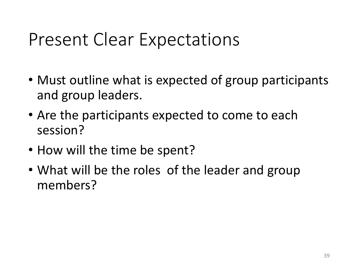#### Present Clear Expectations

- Must outline what is expected of group participants and group leaders.
- Are the participants expected to come to each session?
- How will the time be spent?
- What will be the roles of the leader and group members?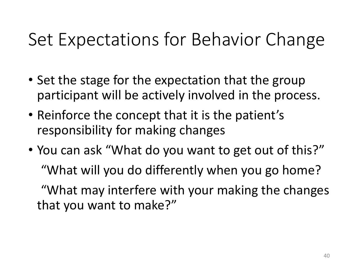#### Set Expectations for Behavior Change

- Set the stage for the expectation that the group participant will be actively involved in the process.
- Reinforce the concept that it is the patient's responsibility for making changes
- You can ask "What do you want to get out of this?" "What will you do differently when you go home? "What may interfere with your making the changes that you want to make?"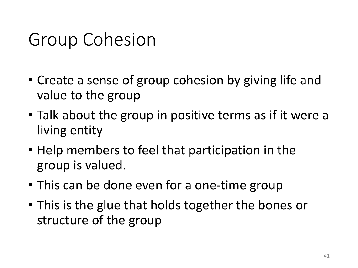#### Group Cohesion

- Create a sense of group cohesion by giving life and value to the group
- Talk about the group in positive terms as if it were a living entity
- Help members to feel that participation in the group is valued.
- This can be done even for a one-time group
- This is the glue that holds together the bones or structure of the group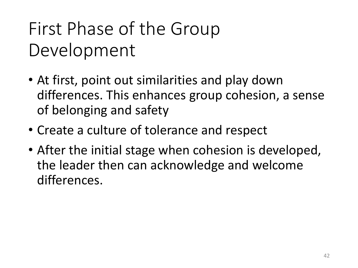## First Phase of the Group Development

- At first, point out similarities and play down differences. This enhances group cohesion, a sense of belonging and safety
- Create a culture of tolerance and respect
- After the initial stage when cohesion is developed, the leader then can acknowledge and welcome differences.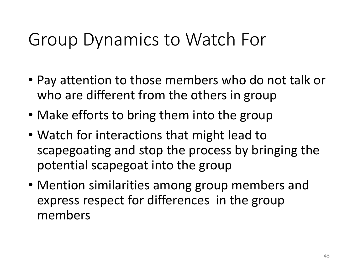#### Group Dynamics to Watch For

- Pay attention to those members who do not talk or who are different from the others in group
- Make efforts to bring them into the group
- Watch for interactions that might lead to scapegoating and stop the process by bringing the potential scapegoat into the group
- Mention similarities among group members and express respect for differences in the group members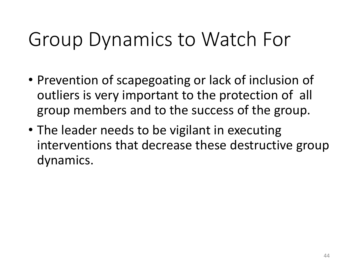## Group Dynamics to Watch For

- Prevention of scapegoating or lack of inclusion of outliers is very important to the protection of all group members and to the success of the group.
- The leader needs to be vigilant in executing interventions that decrease these destructive group dynamics.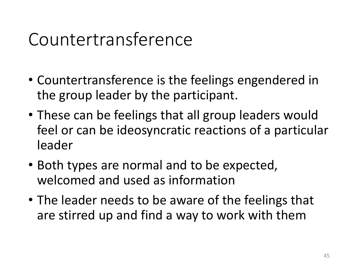#### Countertransference

- Countertransference is the feelings engendered in the group leader by the participant.
- These can be feelings that all group leaders would feel or can be ideosyncratic reactions of a particular leader
- Both types are normal and to be expected, welcomed and used as information
- The leader needs to be aware of the feelings that are stirred up and find a way to work with them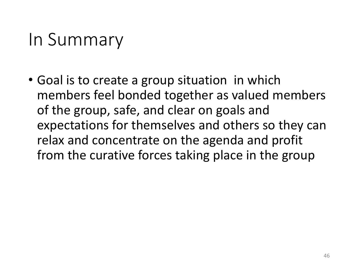#### In Summary

• Goal is to create a group situation in which members feel bonded together as valued members of the group, safe, and clear on goals and expectations for themselves and others so they can relax and concentrate on the agenda and profit from the curative forces taking place in the group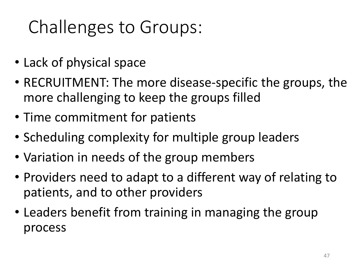## Challenges to Groups:

- Lack of physical space
- RECRUITMENT: The more disease-specific the groups, the more challenging to keep the groups filled
- Time commitment for patients
- Scheduling complexity for multiple group leaders
- Variation in needs of the group members
- Providers need to adapt to a different way of relating to patients, and to other providers
- Leaders benefit from training in managing the group process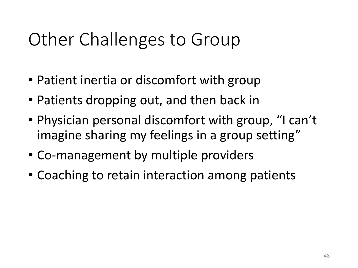### Other Challenges to Group

- Patient inertia or discomfort with group
- Patients dropping out, and then back in
- Physician personal discomfort with group, "I can't imagine sharing my feelings in a group setting"
- Co-management by multiple providers
- Coaching to retain interaction among patients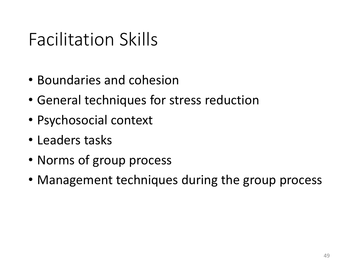#### Facilitation Skills

- Boundaries and cohesion
- General techniques for stress reduction
- Psychosocial context
- Leaders tasks
- Norms of group process
- Management techniques during the group process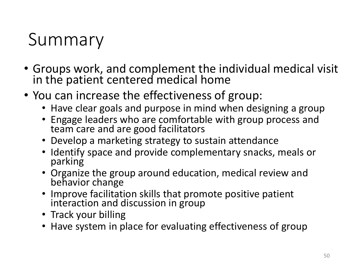#### Summary

- Groups work, and complement the individual medical visit in the patient centered medical home
- You can increase the effectiveness of group:
	- Have clear goals and purpose in mind when designing a group
	- Engage leaders who are comfortable with group process and team care and are good facilitators
	- Develop a marketing strategy to sustain attendance
	- Identify space and provide complementary snacks, meals or parking
	- Organize the group around education, medical review and behavior change
	- Improve facilitation skills that promote positive patient interaction and discussion in group
	- Track your billing
	- Have system in place for evaluating effectiveness of group